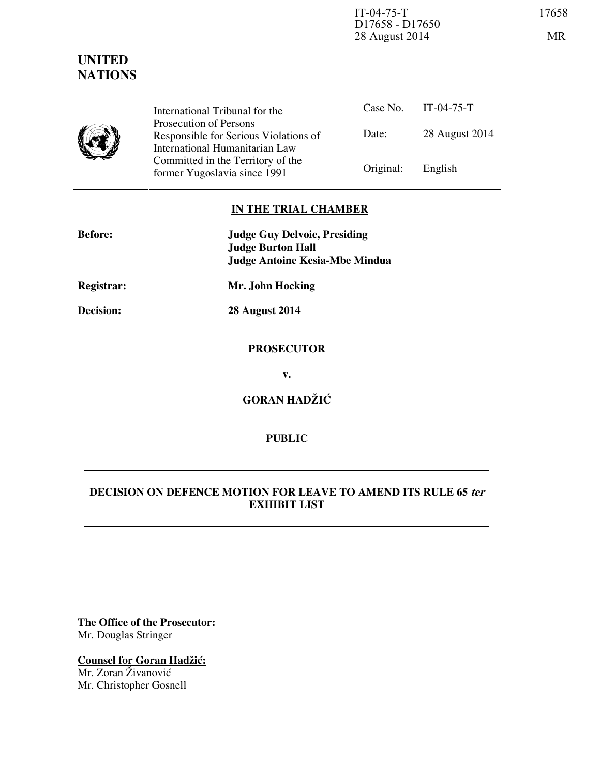IT-04-75-T 17658 D17658 - D17650 28 August 2014 MR

# **UNITED NATIONS**

|  | International Tribunal for the                                          | Case No. $11-0$ |      |
|--|-------------------------------------------------------------------------|-----------------|------|
|  | Prosecution of Persons                                                  | Date:           | 28 A |
|  | Responsible for Serious Violations of<br>International Humanitarian Law |                 |      |
|  | Committed in the Territory of the<br>former Yugoslavia since 1991       | Original:       | Engl |

|              |                   | Case No. IT-04-75-T |
|--------------|-------------------|---------------------|
| ions of<br>W | Date:             | 28 August 2014      |
| the          | Original: English |                     |

## **IN THE TRIAL CHAMBER**

| <b>Before:</b>    | <b>Judge Guy Delvoie, Presiding</b><br><b>Judge Burton Hall</b> |  |
|-------------------|-----------------------------------------------------------------|--|
|                   | <b>Judge Antoine Kesia-Mbe Mindua</b>                           |  |
| <b>Registrar:</b> | Mr. John Hocking                                                |  |
| Decision:         | <b>28 August 2014</b>                                           |  |
|                   |                                                                 |  |
|                   | <b>PROSECUTOR</b>                                               |  |
|                   | $\mathbf{v}$ .                                                  |  |
|                   | <b>GORAN HADŽIĆ</b>                                             |  |
|                   |                                                                 |  |
|                   |                                                                 |  |

## **DECISION ON DEFENCE MOTION FOR LEAVE TO AMEND ITS RULE 65 ter EXHIBIT LIST**

**PUBLIC** 

**The Office of the Prosecutor:** Mr. Douglas Stringer

**Counsel for Goran Hadžić:** Mr. Zoran Živanović Mr. Christopher Gosnell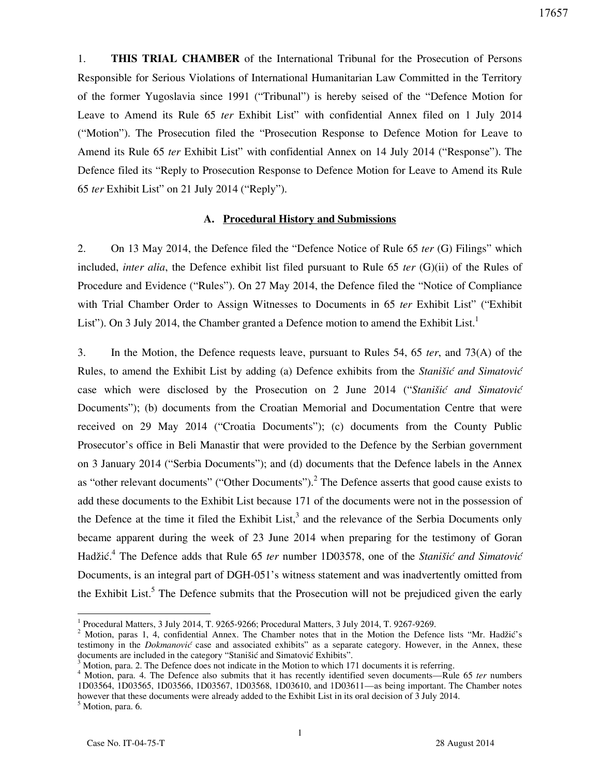1. **THIS TRIAL CHAMBER** of the International Tribunal for the Prosecution of Persons Responsible for Serious Violations of International Humanitarian Law Committed in the Territory of the former Yugoslavia since 1991 ("Tribunal") is hereby seised of the "Defence Motion for Leave to Amend its Rule 65 *ter* Exhibit List" with confidential Annex filed on 1 July 2014 ("Motion"). The Prosecution filed the "Prosecution Response to Defence Motion for Leave to Amend its Rule 65 *ter* Exhibit List" with confidential Annex on 14 July 2014 ("Response"). The Defence filed its "Reply to Prosecution Response to Defence Motion for Leave to Amend its Rule 65 *ter* Exhibit List" on 21 July 2014 ("Reply").

## **A. Procedural History and Submissions**

2. On 13 May 2014, the Defence filed the "Defence Notice of Rule 65 *ter* (G) Filings" which included, *inter alia*, the Defence exhibit list filed pursuant to Rule 65 *ter* (G)(ii) of the Rules of Procedure and Evidence ("Rules"). On 27 May 2014, the Defence filed the "Notice of Compliance with Trial Chamber Order to Assign Witnesses to Documents in 65 *ter* Exhibit List" ("Exhibit List"). On 3 July 2014, the Chamber granted a Defence motion to amend the Exhibit List.<sup>1</sup>

3. In the Motion, the Defence requests leave, pursuant to Rules 54, 65 *ter*, and 73(A) of the Rules, to amend the Exhibit List by adding (a) Defence exhibits from the *Stanišić and Simatović* case which were disclosed by the Prosecution on 2 June 2014 ("*Stanišić and Simatović* Documents"); (b) documents from the Croatian Memorial and Documentation Centre that were received on 29 May 2014 ("Croatia Documents"); (c) documents from the County Public Prosecutor's office in Beli Manastir that were provided to the Defence by the Serbian government on 3 January 2014 ("Serbia Documents"); and (d) documents that the Defence labels in the Annex as "other relevant documents" ("Other Documents").<sup>2</sup> The Defence asserts that good cause exists to add these documents to the Exhibit List because 171 of the documents were not in the possession of the Defence at the time it filed the Exhibit List,<sup>3</sup> and the relevance of the Serbia Documents only became apparent during the week of 23 June 2014 when preparing for the testimony of Goran Hadžić.<sup>4</sup> The Defence adds that Rule 65 *ter* number 1D03578, one of the *Stanišić and Simatović* Documents, is an integral part of DGH-051's witness statement and was inadvertently omitted from the Exhibit List.<sup>5</sup> The Defence submits that the Prosecution will not be prejudiced given the early

<sup>5</sup> Motion, para. 6.

 1 Procedural Matters, 3 July 2014, T. 9265-9266; Procedural Matters, 3 July 2014, T. 9267-9269.

<sup>&</sup>lt;sup>2</sup> Motion, paras 1, 4, confidential Annex. The Chamber notes that in the Motion the Defence lists "Mr. Hadžić's testimony in the *Dokmanović* case and associated exhibits" as a separate category. However, in the Annex, these documents are included in the category "Stanišić and Simatović Exhibits".

<sup>&</sup>lt;sup>3</sup> Motion, para. 2. The Defence does not indicate in the Motion to which 171 documents it is referring.

<sup>4</sup> Motion, para. 4. The Defence also submits that it has recently identified seven documents—Rule 65 *ter* numbers 1D03564, 1D03565, 1D03566, 1D03567, 1D03568, 1D03610, and 1D03611—as being important. The Chamber notes however that these documents were already added to the Exhibit List in its oral decision of 3 July 2014.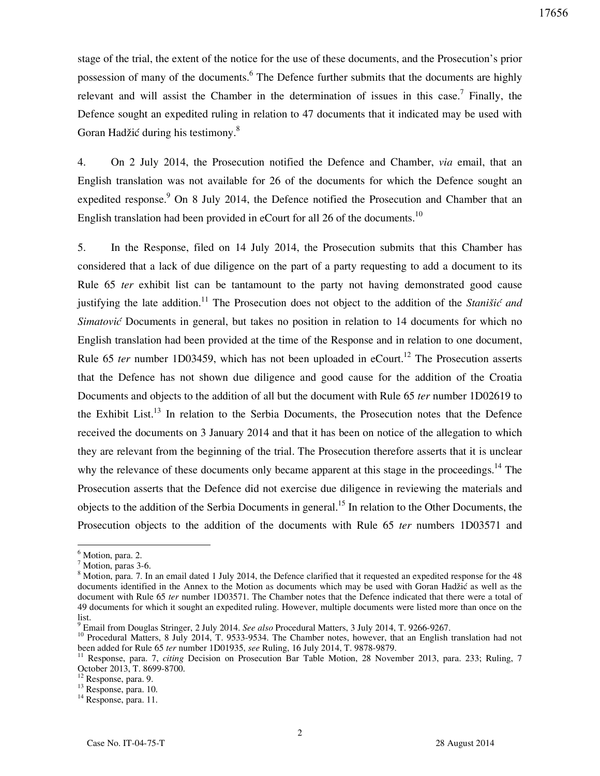stage of the trial, the extent of the notice for the use of these documents, and the Prosecution's prior possession of many of the documents.<sup>6</sup> The Defence further submits that the documents are highly relevant and will assist the Chamber in the determination of issues in this case.<sup>7</sup> Finally, the Defence sought an expedited ruling in relation to 47 documents that it indicated may be used with Goran Hadžić during his testimony.<sup>8</sup>

4. On 2 July 2014, the Prosecution notified the Defence and Chamber, *via* email, that an English translation was not available for 26 of the documents for which the Defence sought an expedited response.<sup>9</sup> On 8 July 2014, the Defence notified the Prosecution and Chamber that an English translation had been provided in eCourt for all 26 of the documents.<sup>10</sup>

5. In the Response, filed on 14 July 2014, the Prosecution submits that this Chamber has considered that a lack of due diligence on the part of a party requesting to add a document to its Rule 65 *ter* exhibit list can be tantamount to the party not having demonstrated good cause justifying the late addition.<sup>11</sup> The Prosecution does not object to the addition of the *Stanišić and Simatović* Documents in general, but takes no position in relation to 14 documents for which no English translation had been provided at the time of the Response and in relation to one document, Rule 65 *ter* number 1D03459, which has not been uploaded in eCourt.<sup>12</sup> The Prosecution asserts that the Defence has not shown due diligence and good cause for the addition of the Croatia Documents and objects to the addition of all but the document with Rule 65 *ter* number 1D02619 to the Exhibit List.<sup>13</sup> In relation to the Serbia Documents, the Prosecution notes that the Defence received the documents on 3 January 2014 and that it has been on notice of the allegation to which they are relevant from the beginning of the trial. The Prosecution therefore asserts that it is unclear why the relevance of these documents only became apparent at this stage in the proceedings.<sup>14</sup> The Prosecution asserts that the Defence did not exercise due diligence in reviewing the materials and objects to the addition of the Serbia Documents in general.<sup>15</sup> In relation to the Other Documents, the Prosecution objects to the addition of the documents with Rule 65 *ter* numbers 1D03571 and

<sup>&</sup>lt;sup>6</sup> Motion, para. 2.

<sup>7</sup> Motion, paras 3-6.

<sup>&</sup>lt;sup>8</sup> Motion, para. 7. In an email dated 1 July 2014, the Defence clarified that it requested an expedited response for the 48 documents identified in the Annex to the Motion as documents which may be used with Goran Hadžić as well as the document with Rule 65 *ter* number 1D03571. The Chamber notes that the Defence indicated that there were a total of 49 documents for which it sought an expedited ruling. However, multiple documents were listed more than once on the list.

<sup>9</sup> Email from Douglas Stringer, 2 July 2014. *See also* Procedural Matters, 3 July 2014, T. 9266-9267.

<sup>&</sup>lt;sup>10</sup> Procedural Matters, 8 July 2014, T. 9533-9534. The Chamber notes, however, that an English translation had not been added for Rule 65 *ter* number 1D01935, *see* Ruling, 16 July 2014, T. 9878-9879.

<sup>&</sup>lt;sup>11</sup> Response, para. 7, *citing* Decision on Prosecution Bar Table Motion, 28 November 2013, para. 233; Ruling, 7 October 2013, T. 8699-8700.

<sup>12</sup> Response, para. 9.

 $13$  Response, para. 10.

<sup>&</sup>lt;sup>14</sup> Response, para. 11.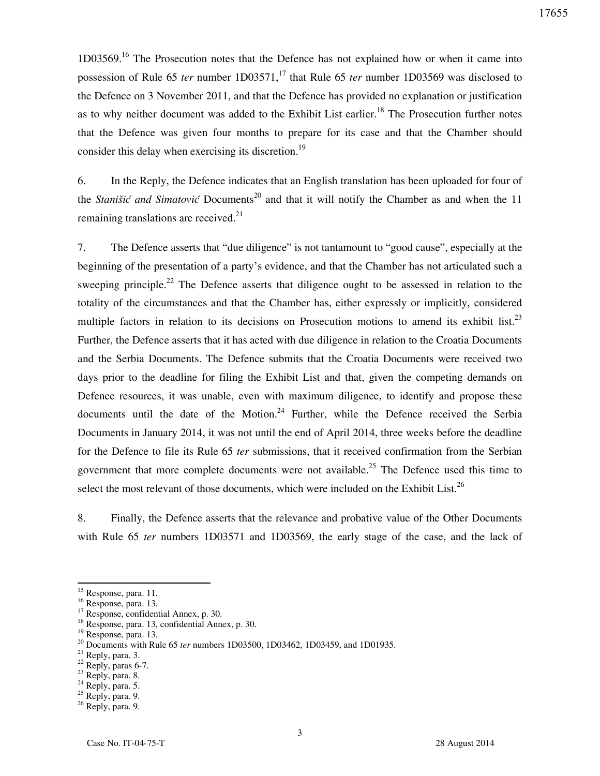1D03569.<sup>16</sup> The Prosecution notes that the Defence has not explained how or when it came into possession of Rule 65 *ter* number 1D03571,<sup>17</sup> that Rule 65 *ter* number 1D03569 was disclosed to the Defence on 3 November 2011, and that the Defence has provided no explanation or justification as to why neither document was added to the Exhibit List earlier.<sup>18</sup> The Prosecution further notes that the Defence was given four months to prepare for its case and that the Chamber should consider this delay when exercising its discretion.<sup>19</sup>

6. In the Reply, the Defence indicates that an English translation has been uploaded for four of the *Stanišić and Simatović* Documents<sup>20</sup> and that it will notify the Chamber as and when the 11 remaining translations are received. $21$ 

7. The Defence asserts that "due diligence" is not tantamount to "good cause", especially at the beginning of the presentation of a party's evidence, and that the Chamber has not articulated such a sweeping principle.<sup>22</sup> The Defence asserts that diligence ought to be assessed in relation to the totality of the circumstances and that the Chamber has, either expressly or implicitly, considered multiple factors in relation to its decisions on Prosecution motions to amend its exhibit list.<sup>23</sup> Further, the Defence asserts that it has acted with due diligence in relation to the Croatia Documents and the Serbia Documents. The Defence submits that the Croatia Documents were received two days prior to the deadline for filing the Exhibit List and that, given the competing demands on Defence resources, it was unable, even with maximum diligence, to identify and propose these documents until the date of the Motion. $24$  Further, while the Defence received the Serbia Documents in January 2014, it was not until the end of April 2014, three weeks before the deadline for the Defence to file its Rule 65 *ter* submissions, that it received confirmation from the Serbian government that more complete documents were not available.<sup>25</sup> The Defence used this time to select the most relevant of those documents, which were included on the Exhibit List.<sup>26</sup>

8. Finally, the Defence asserts that the relevance and probative value of the Other Documents with Rule 65 *ter* numbers 1D03571 and 1D03569, the early stage of the case, and the lack of

 $\overline{a}$ 

 $^{21}$  Reply, para. 3.

- $23$  Reply, para. 8.
- $^{24}$  Reply, para. 5.

<sup>&</sup>lt;sup>15</sup> Response, para. 11.

<sup>16</sup> Response, para. 13.

<sup>&</sup>lt;sup>17</sup> Response, confidential Annex, p. 30.

<sup>18</sup> Response, para. 13, confidential Annex, p. 30.

<sup>19</sup> Response, para. 13.

<sup>&</sup>lt;sup>20</sup> Documents with Rule 65 *ter* numbers 1D03500, 1D03462, 1D03459, and 1D01935.

 $22$  Reply, paras 6-7.

<sup>&</sup>lt;sup>25</sup> Reply, para. 9.

<sup>&</sup>lt;sup>26</sup> Reply, para. 9.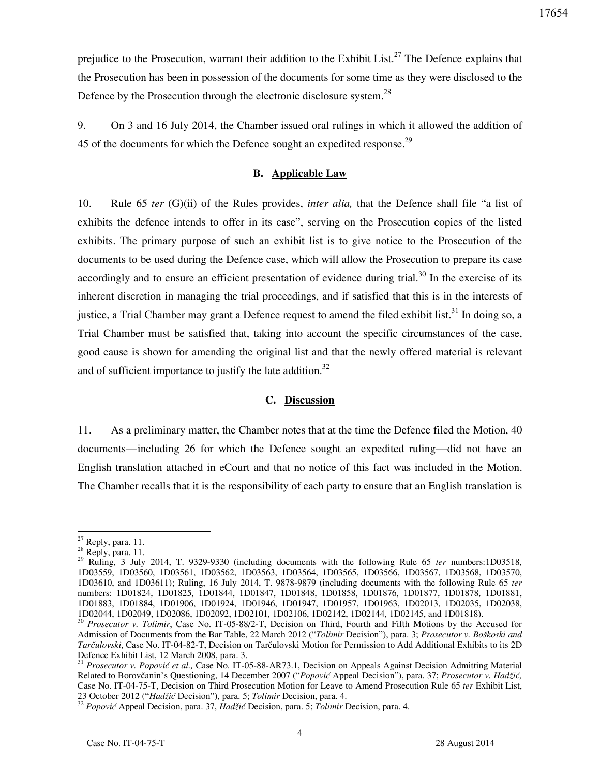prejudice to the Prosecution, warrant their addition to the Exhibit List.<sup>27</sup> The Defence explains that the Prosecution has been in possession of the documents for some time as they were disclosed to the Defence by the Prosecution through the electronic disclosure system.<sup>28</sup>

9. On 3 and 16 July 2014, the Chamber issued oral rulings in which it allowed the addition of 45 of the documents for which the Defence sought an expedited response.<sup>29</sup>

### **B. Applicable Law**

10. Rule 65 *ter* (G)(ii) of the Rules provides, *inter alia,* that the Defence shall file "a list of exhibits the defence intends to offer in its case", serving on the Prosecution copies of the listed exhibits. The primary purpose of such an exhibit list is to give notice to the Prosecution of the documents to be used during the Defence case, which will allow the Prosecution to prepare its case accordingly and to ensure an efficient presentation of evidence during trial.<sup>30</sup> In the exercise of its inherent discretion in managing the trial proceedings, and if satisfied that this is in the interests of justice, a Trial Chamber may grant a Defence request to amend the filed exhibit list.<sup>31</sup> In doing so, a Trial Chamber must be satisfied that, taking into account the specific circumstances of the case, good cause is shown for amending the original list and that the newly offered material is relevant and of sufficient importance to justify the late addition.<sup>32</sup>

#### **C. Discussion**

11. As a preliminary matter, the Chamber notes that at the time the Defence filed the Motion, 40 documents—including 26 for which the Defence sought an expedited ruling—did not have an English translation attached in eCourt and that no notice of this fact was included in the Motion. The Chamber recalls that it is the responsibility of each party to ensure that an English translation is

 $27$  Reply, para. 11.

 $28$  Reply, para. 11.

<sup>29</sup> Ruling, 3 July 2014, T. 9329-9330 (including documents with the following Rule 65 *ter* numbers:1D03518, 1D03559, 1D03560, 1D03561, 1D03562, 1D03563, 1D03564, 1D03565, 1D03566, 1D03567, 1D03568, 1D03570, 1D03610, and 1D03611); Ruling, 16 July 2014, T. 9878-9879 (including documents with the following Rule 65 *ter* numbers: 1D01824, 1D01825, 1D01844, 1D01847, 1D01848, 1D01858, 1D01876, 1D01877, 1D01878, 1D01881, 1D01883, 1D01884, 1D01906, 1D01924, 1D01946, 1D01947, 1D01957, 1D01963, 1D02013, 1D02035, 1D02038, 1D02044, 1D02049, 1D02086, 1D02092, 1D02101, 1D02106, 1D02142, 1D02144, 1D02145, and 1D01818).

<sup>30</sup> *Prosecutor v. Tolimir*, Case No. IT-05-88/2-T, Decision on Third, Fourth and Fifth Motions by the Accused for Admission of Documents from the Bar Table, 22 March 2012 ("*Tolimir* Decision"), para. 3; *Prosecutor v. Boškoski and Tarčulovski*, Case No. IT-04-82-T, Decision on Tarčulovski Motion for Permission to Add Additional Exhibits to its 2D Defence Exhibit List, 12 March 2008, para. 3.

<sup>31</sup> *Prosecutor v. Popović et al.,* Case No. IT-05-88-AR73.1, Decision on Appeals Against Decision Admitting Material Related to Borovčanin's Questioning, 14 December 2007 ("*Popović* Appeal Decision"), para. 37; *Prosecutor v. Hadži},*  Case No. IT-04-75-T, Decision on Third Prosecution Motion for Leave to Amend Prosecution Rule 65 *ter* Exhibit List, 23 October 2012 ("*Hadži}* Decision"), para. 5; *Tolimir* Decision, para. 4.

<sup>&</sup>lt;sup>32</sup> *Popović* Appeal Decision, para. 37, *Hadžić* Decision, para. 5; *Tolimir* Decision, para. 4.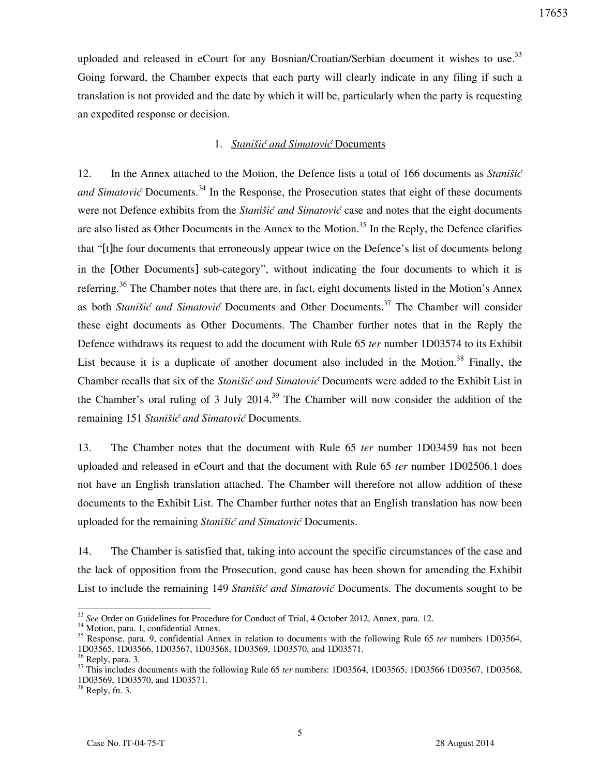uploaded and released in eCourt for any Bosnian/Croatian/Serbian document it wishes to use.<sup>33</sup> Going forward, the Chamber expects that each party will clearly indicate in any filing if such a translation is not provided and the date by which it will be, particularly when the party is requesting an expedited response or decision.

## 1. *Stanišić and Simatović* Documents

12. In the Annex attached to the Motion, the Defence lists a total of 166 documents as *Stanišić and Simatović* Documents.<sup>34</sup> In the Response, the Prosecution states that eight of these documents were not Defence exhibits from the *Stanišić and Simatović* case and notes that the eight documents are also listed as Other Documents in the Annex to the Motion.<sup>35</sup> In the Reply, the Defence clarifies that "[t]he four documents that erroneously appear twice on the Defence's list of documents belong in the [Other Documents] sub-category", without indicating the four documents to which it is referring.<sup>36</sup> The Chamber notes that there are, in fact, eight documents listed in the Motion's Annex as both *Stanišić and Simatović* Documents and Other Documents.<sup>37</sup> The Chamber will consider these eight documents as Other Documents. The Chamber further notes that in the Reply the Defence withdraws its request to add the document with Rule 65 *ter* number 1D03574 to its Exhibit List because it is a duplicate of another document also included in the Motion.<sup>38</sup> Finally, the Chamber recalls that six of the *Stanišić and Simatović* Documents were added to the Exhibit List in the Chamber's oral ruling of 3 July 2014.<sup>39</sup> The Chamber will now consider the addition of the remaining 151 *Stanišić and Simatović* Documents.

13. The Chamber notes that the document with Rule 65 *ter* number 1D03459 has not been uploaded and released in eCourt and that the document with Rule 65 *ter* number 1D02506.1 does not have an English translation attached. The Chamber will therefore not allow addition of these documents to the Exhibit List. The Chamber further notes that an English translation has now been uploaded for the remaining *Stanišić and Simatović* Documents.

14. The Chamber is satisfied that, taking into account the specific circumstances of the case and the lack of opposition from the Prosecution, good cause has been shown for amending the Exhibit List to include the remaining 149 *Stanišić and Simatović* Documents. The documents sought to be

<sup>33</sup> *See* Order on Guidelines for Procedure for Conduct of Trial, 4 October 2012, Annex, para. 12.

<sup>&</sup>lt;sup>34</sup> Motion, para. 1, confidential Annex.

<sup>35</sup> Response, para. 9, confidential Annex in relation to documents with the following Rule 65 *ter* numbers 1D03564, 1D03565, 1D03566, 1D03567, 1D03568, 1D03569, 1D03570, and 1D03571.

 $6$  Reply, para. 3.

<sup>&</sup>lt;sup>37</sup> This includes documents with the following Rule 65 *ter* numbers: 1D03564, 1D03565, 1D03566 1D03567, 1D03568, 1D03569, 1D03570, and 1D03571.

 $38$  Reply, fn. 3.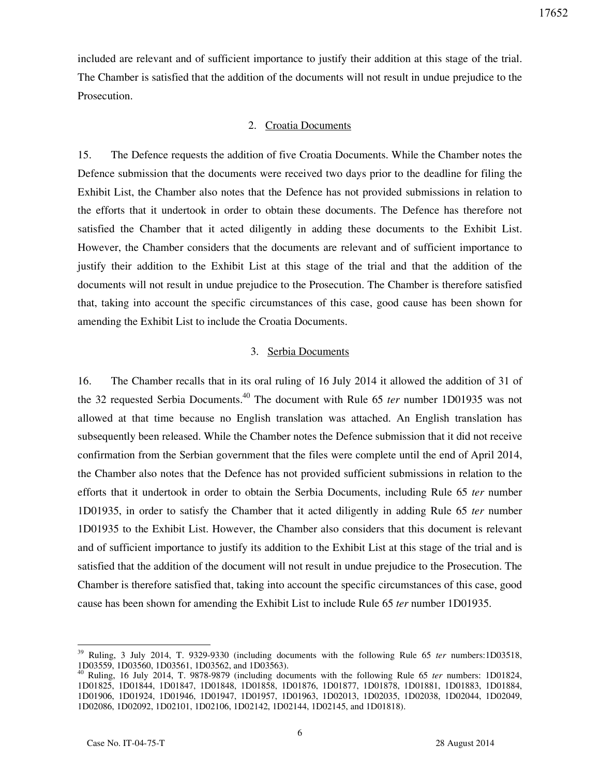included are relevant and of sufficient importance to justify their addition at this stage of the trial. The Chamber is satisfied that the addition of the documents will not result in undue prejudice to the Prosecution.

#### 2. Croatia Documents

15. The Defence requests the addition of five Croatia Documents. While the Chamber notes the Defence submission that the documents were received two days prior to the deadline for filing the Exhibit List, the Chamber also notes that the Defence has not provided submissions in relation to the efforts that it undertook in order to obtain these documents. The Defence has therefore not satisfied the Chamber that it acted diligently in adding these documents to the Exhibit List. However, the Chamber considers that the documents are relevant and of sufficient importance to justify their addition to the Exhibit List at this stage of the trial and that the addition of the documents will not result in undue prejudice to the Prosecution. The Chamber is therefore satisfied that, taking into account the specific circumstances of this case, good cause has been shown for amending the Exhibit List to include the Croatia Documents.

#### 3. Serbia Documents

16. The Chamber recalls that in its oral ruling of 16 July 2014 it allowed the addition of 31 of the 32 requested Serbia Documents.<sup>40</sup> The document with Rule 65 *ter* number 1D01935 was not allowed at that time because no English translation was attached. An English translation has subsequently been released. While the Chamber notes the Defence submission that it did not receive confirmation from the Serbian government that the files were complete until the end of April 2014, the Chamber also notes that the Defence has not provided sufficient submissions in relation to the efforts that it undertook in order to obtain the Serbia Documents, including Rule 65 *ter* number 1D01935, in order to satisfy the Chamber that it acted diligently in adding Rule 65 *ter* number 1D01935 to the Exhibit List. However, the Chamber also considers that this document is relevant and of sufficient importance to justify its addition to the Exhibit List at this stage of the trial and is satisfied that the addition of the document will not result in undue prejudice to the Prosecution. The Chamber is therefore satisfied that, taking into account the specific circumstances of this case, good cause has been shown for amending the Exhibit List to include Rule 65 *ter* number 1D01935.

<sup>39</sup> Ruling, 3 July 2014, T. 9329-9330 (including documents with the following Rule 65 *ter* numbers:1D03518, 1D03559, 1D03560, 1D03561, 1D03562, and 1D03563).

<sup>40</sup> Ruling, 16 July 2014, T. 9878-9879 (including documents with the following Rule 65 *ter* numbers: 1D01824, 1D01825, 1D01844, 1D01847, 1D01848, 1D01858, 1D01876, 1D01877, 1D01878, 1D01881, 1D01883, 1D01884, 1D01906, 1D01924, 1D01946, 1D01947, 1D01957, 1D01963, 1D02013, 1D02035, 1D02038, 1D02044, 1D02049, 1D02086, 1D02092, 1D02101, 1D02106, 1D02142, 1D02144, 1D02145, and 1D01818).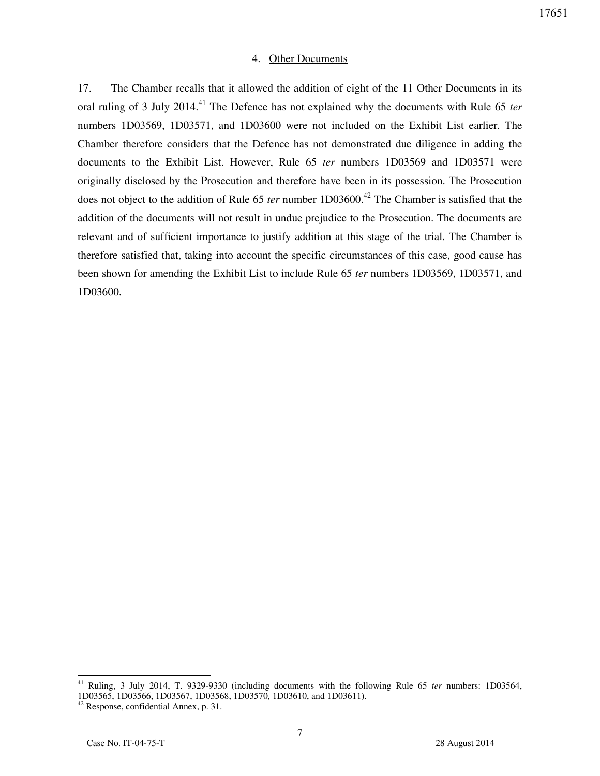### 4. Other Documents

17. The Chamber recalls that it allowed the addition of eight of the 11 Other Documents in its oral ruling of 3 July 2014.<sup>41</sup> The Defence has not explained why the documents with Rule 65 *ter* numbers 1D03569, 1D03571, and 1D03600 were not included on the Exhibit List earlier. The Chamber therefore considers that the Defence has not demonstrated due diligence in adding the documents to the Exhibit List. However, Rule 65 *ter* numbers 1D03569 and 1D03571 were originally disclosed by the Prosecution and therefore have been in its possession. The Prosecution does not object to the addition of Rule 65 *ter* number 1D03600.<sup>42</sup> The Chamber is satisfied that the addition of the documents will not result in undue prejudice to the Prosecution. The documents are relevant and of sufficient importance to justify addition at this stage of the trial. The Chamber is therefore satisfied that, taking into account the specific circumstances of this case, good cause has been shown for amending the Exhibit List to include Rule 65 *ter* numbers 1D03569, 1D03571, and 1D03600.

<sup>41</sup> Ruling, 3 July 2014, T. 9329-9330 (including documents with the following Rule 65 *ter* numbers: 1D03564, 1D03565, 1D03566, 1D03567, 1D03568, 1D03570, 1D03610, and 1D03611).

 $42$  Response, confidential Annex, p. 31.